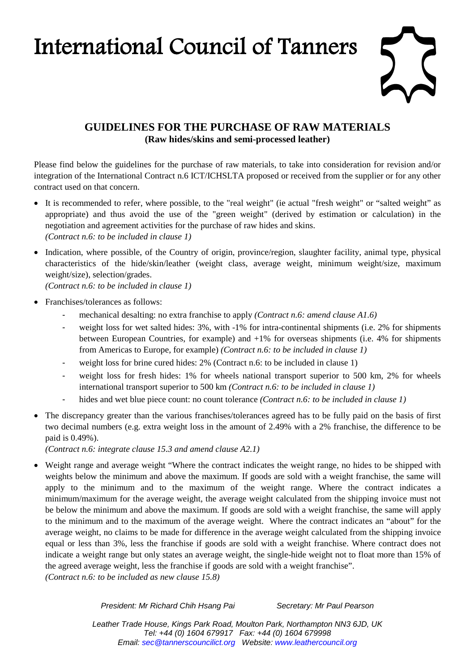## International Council of Tanners



## **GUIDELINES FOR THE PURCHASE OF RAW MATERIALS (Raw hides/skins and semi-processed leather)**

Please find below the guidelines for the purchase of raw materials, to take into consideration for revision and/or integration of the International Contract n.6 ICT/ICHSLTA proposed or received from the supplier or for any other contract used on that concern.

- It is recommended to refer, where possible, to the "real weight" (ie actual "fresh weight" or "salted weight" as appropriate) and thus avoid the use of the "green weight" (derived by estimation or calculation) in the negotiation and agreement activities for the purchase of raw hides and skins. *(Contract n.6: to be included in clause 1)*
- Indication, where possible, of the Country of origin, province/region, slaughter facility, animal type, physical characteristics of the hide/skin/leather (weight class, average weight, minimum weight/size, maximum weight/size), selection/grades.

*(Contract n.6: to be included in clause 1)* 

- Franchises/tolerances as follows:
	- mechanical desalting: no extra franchise to apply *(Contract n.6: amend clause A1.6)*
	- weight loss for wet salted hides: 3%, with -1% for intra-continental shipments (i.e. 2% for shipments between European Countries, for example) and +1% for overseas shipments (i.e. 4% for shipments from Americas to Europe, for example) *(Contract n.6: to be included in clause 1)*
	- weight loss for brine cured hides: 2% (Contract n.6: to be included in clause 1)
	- weight loss for fresh hides: 1% for wheels national transport superior to 500 km, 2% for wheels international transport superior to 500 km *(Contract n.6: to be included in clause 1)*
	- hides and wet blue piece count: no count tolerance *(Contract n.6: to be included in clause 1)*
- The discrepancy greater than the various franchises/tolerances agreed has to be fully paid on the basis of first two decimal numbers (e.g. extra weight loss in the amount of 2.49% with a 2% franchise, the difference to be paid is 0.49%).

*(Contract n.6: integrate clause 15.3 and amend clause A2.1)*

• Weight range and average weight "Where the contract indicates the weight range, no hides to be shipped with weights below the minimum and above the maximum. If goods are sold with a weight franchise, the same will apply to the minimum and to the maximum of the weight range. Where the contract indicates a minimum/maximum for the average weight, the average weight calculated from the shipping invoice must not be below the minimum and above the maximum. If goods are sold with a weight franchise, the same will apply to the minimum and to the maximum of the average weight. Where the contract indicates an "about" for the average weight, no claims to be made for difference in the average weight calculated from the shipping invoice equal or less than 3%, less the franchise if goods are sold with a weight franchise. Where contract does not indicate a weight range but only states an average weight, the single-hide weight not to float more than 15% of the agreed average weight, less the franchise if goods are sold with a weight franchise". *(Contract n.6: to be included as new clause 15.8)*

*President: Mr Richard Chih Hsang Pai Secretary: Mr Paul Pearson*

*Leather Trade House, Kings Park Road, Moulton Park, Northampton NN3 6JD, UK Tel: +44 (0) 1604 679917 Fax: +44 (0) 1604 679998 Email: [sec@tannerscouncilict.org](mailto:sec@tannerscouncilict.org) Website: [www.leathercouncil.org](http://www.leathercouncil.org/)*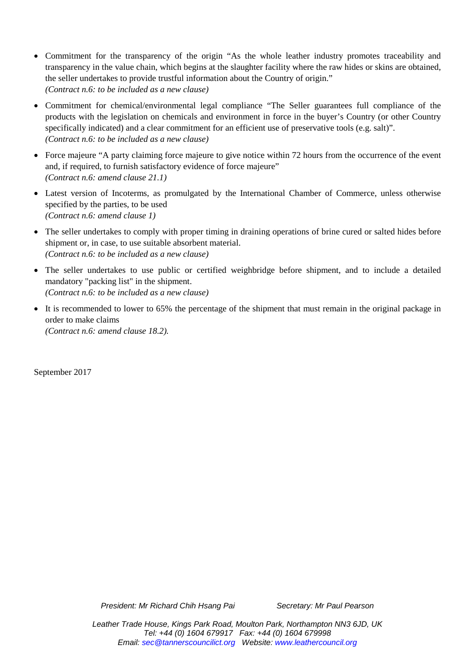- Commitment for the transparency of the origin "As the whole leather industry promotes traceability and transparency in the value chain, which begins at the slaughter facility where the raw hides or skins are obtained, the seller undertakes to provide trustful information about the Country of origin." *(Contract n.6: to be included as a new clause)*
- Commitment for chemical/environmental legal compliance "The Seller guarantees full compliance of the products with the legislation on chemicals and environment in force in the buyer's Country (or other Country specifically indicated) and a clear commitment for an efficient use of preservative tools (e.g. salt)". *(Contract n.6: to be included as a new clause)*
- Force majeure "A party claiming force majeure to give notice within 72 hours from the occurrence of the event and, if required, to furnish satisfactory evidence of force majeure" *(Contract n.6: amend clause 21.1)*
- Latest version of Incoterms, as promulgated by the International Chamber of Commerce, unless otherwise specified by the parties, to be used *(Contract n.6: amend clause 1)*
- The seller undertakes to comply with proper timing in draining operations of brine cured or salted hides before shipment or, in case, to use suitable absorbent material. *(Contract n.6: to be included as a new clause)*
- The seller undertakes to use public or certified weighbridge before shipment, and to include a detailed mandatory "packing list" in the shipment. *(Contract n.6: to be included as a new clause)*
- It is recommended to lower to 65% the percentage of the shipment that must remain in the original package in order to make claims *(Contract n.6: amend clause 18.2).*

September 2017

*President: Mr Richard Chih Hsang Pai Secretary: Mr Paul Pearson*

*Leather Trade House, Kings Park Road, Moulton Park, Northampton NN3 6JD, UK Tel: +44 (0) 1604 679917 Fax: +44 (0) 1604 679998 Email: [sec@tannerscouncilict.org](mailto:sec@tannerscouncilict.org) Website: [www.leathercouncil.org](http://www.leathercouncil.org/)*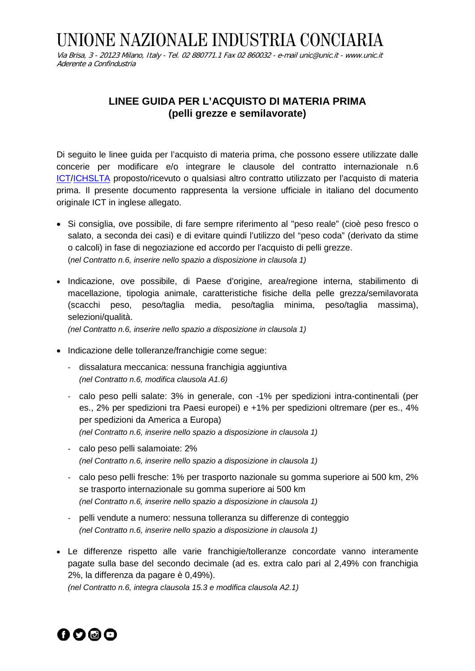## UNIONE NAZIONALE INDUSTRIA CONCIARIA

Via Brisa, 3 - 20123 Milano, Italy - Tel. 02 880771.1 Fax 02 860032 - e-mai[l unic@unic.it](mailto:unic@unic.it) - www.unic.it Aderente a Confindustria

## **LINEE GUIDA PER L'ACQUISTO DI MATERIA PRIMA (pelli grezze e semilavorate)**

Di seguito le linee guida per l'acquisto di materia prima, che possono essere utilizzate dalle concerie per modificare e/o integrare le clausole del contratto internazionale n.6 [ICT](http://www.leathercouncil.org/introtoleather.htm)[/ICHSLTA](http://www.ichslta.com/index.php/en/) proposto/ricevuto o qualsiasi altro contratto utilizzato per l'acquisto di materia prima. Il presente documento rappresenta la versione ufficiale in italiano del documento originale ICT in inglese allegato.

- Si consiglia, ove possibile, di fare sempre riferimento al "peso reale" (cioè peso fresco o salato, a seconda dei casi) e di evitare quindi l'utilizzo del "peso coda" (derivato da stime o calcoli) in fase di negoziazione ed accordo per l'acquisto di pelli grezze. (*nel Contratto n.6, inserire nello spazio a disposizione in clausola 1)*
- Indicazione, ove possibile, di Paese d'origine, area/regione interna, stabilimento di macellazione, tipologia animale, caratteristiche fisiche della pelle grezza/semilavorata (scacchi peso, peso/taglia media, peso/taglia minima, peso/taglia massima), selezioni/qualità.

*(nel Contratto n.6, inserire nello spazio a disposizione in clausola 1)*

- Indicazione delle tolleranze/franchigie come segue:
	- dissalatura meccanica: nessuna franchigia aggiuntiva *(nel Contratto n.6, modifica clausola A1.6)*
	- calo peso pelli salate: 3% in generale, con -1% per spedizioni intra-continentali (per es., 2% per spedizioni tra Paesi europei) e +1% per spedizioni oltremare (per es., 4% per spedizioni da America a Europa) *(nel Contratto n.6, inserire nello spazio a disposizione in clausola 1)*
	- calo peso pelli salamoiate: 2% *(nel Contratto n.6, inserire nello spazio a disposizione in clausola 1)*
	- calo peso pelli fresche: 1% per trasporto nazionale su gomma superiore ai 500 km, 2% se trasporto internazionale su gomma superiore ai 500 km *(nel Contratto n.6, inserire nello spazio a disposizione in clausola 1)*
	- pelli vendute a numero: nessuna tolleranza su differenze di conteggio *(nel Contratto n.6, inserire nello spazio a disposizione in clausola 1)*
- Le differenze rispetto alle varie franchigie/tolleranze concordate vanno interamente pagate sulla base del secondo decimale (ad es. extra calo pari al 2,49% con franchigia 2%, la differenza da pagare è 0,49%).

*(nel Contratto n.6, integra clausola 15.3 e modifica clausola A2.1)*